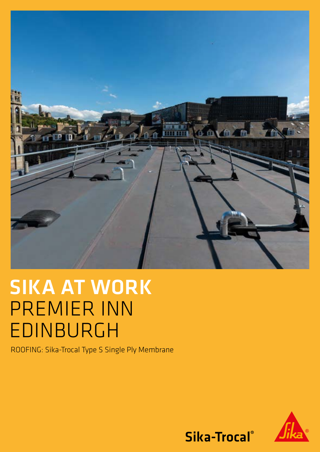

# SIKA AT WORK PREMIER INN EDINBURGH

ROOFING: Sika-Trocal Type S Single Ply Membrane



Sika-Trocal®